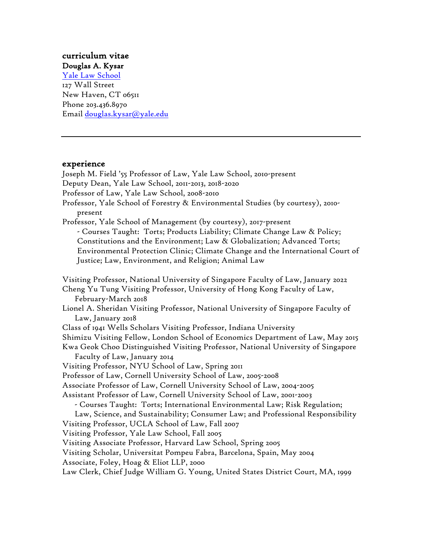#### curriculum vitae Douglas A. Kysar

Yale Law School 127 Wall Street New Haven, CT 06511 Phone 203.436.8970 Email douglas.kysar@yale.edu

### experience

Joseph M. Field '55 Professor of Law, Yale Law School, 2010-present Deputy Dean, Yale Law School, 2011-2013, 2018-2020 Professor of Law, Yale Law School, 2008-2010 Professor, Yale School of Forestry & Environmental Studies (by courtesy), 2010 present Professor, Yale School of Management (by courtesy), 2017-present - Courses Taught: Torts; Products Liability; Climate Change Law & Policy; Constitutions and the Environment; Law & Globalization; Advanced Torts; Environmental Protection Clinic; Climate Change and the International Court of Justice; Law, Environment, and Religion; Animal Law Visiting Professor, National University of Singapore Faculty of Law, January 2022 Cheng Yu Tung Visiting Professor, University of Hong Kong Faculty of Law, February-March 2018 Lionel A. Sheridan Visiting Professor, National University of Singapore Faculty of Law, January 2018 Class of 1941 Wells Scholars Visiting Professor, Indiana University Shimizu Visiting Fellow, London School of Economics Department of Law, May 2015 Kwa Geok Choo Distinguished Visiting Professor, National University of Singapore Faculty of Law, January 2014 Visiting Professor, NYU School of Law, Spring 2011 Professor of Law, Cornell University School of Law, 2005-2008 Associate Professor of Law, Cornell University School of Law, 2004-2005 Assistant Professor of Law, Cornell University School of Law, 2001-2003 - Courses Taught: Torts; International Environmental Law; Risk Regulation; Law, Science, and Sustainability; Consumer Law; and Professional Responsibility Visiting Professor, UCLA School of Law, Fall 2007 Visiting Professor, Yale Law School, Fall 2005 Visiting Associate Professor, Harvard Law School, Spring 2005 Visiting Scholar, Universitat Pompeu Fabra, Barcelona, Spain, May 2004 Associate, Foley, Hoag & Eliot LLP, 2000 Law Clerk, Chief Judge William G. Young, United States District Court, MA, 1999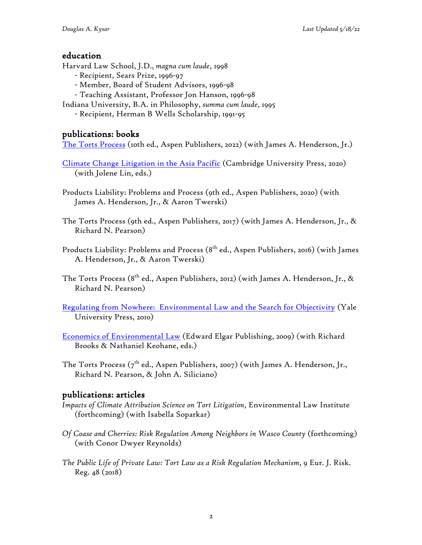# education

Harvard Law School, J.D., *magna cum laude*, 1998

- Recipient, Sears Prize, 1996-97
- Member, Board of Student Advisors, 1996-98
- Teaching Assistant, Professor Jon Hanson, 1996-98
- Indiana University, B.A. in Philosophy, *summa cum laude*, 1995
	- Recipient, Herman B Wells Scholarship, 1991-95

# publications: books

The Torts Process (10th ed., Aspen Publishers, 2022) (with James A. Henderson, Jr.)

- Climate Change Litigation in the Asia Pacific (Cambridge University Press, 2020) (with Jolene Lin, eds.)
- Products Liability: Problems and Process (9th ed., Aspen Publishers, 2020) (with James A. Henderson, Jr., & Aaron Twerski)
- The Torts Process (9th ed., Aspen Publishers, 2017) (with James A. Henderson, Jr., & Richard N. Pearson)
- Products Liability: Problems and Process (8<sup>th</sup> ed., Aspen Publishers, 2016) (with James A. Henderson, Jr., & Aaron Twerski)
- The Torts Process (8<sup>th</sup> ed., Aspen Publishers, 2012) (with James A. Henderson, Jr., & Richard N. Pearson)
- Regulating from Nowhere: Environmental Law and the Search for Objectivity (Yale University Press, 2010)
- Economics of Environmental Law (Edward Elgar Publishing, 2009) (with Richard Brooks & Nathaniel Keohane, eds.)
- The Torts Process ( $7^{\text{th}}$  ed., Aspen Publishers, 2007) (with James A. Henderson, Jr., Richard N. Pearson, & John A. Siliciano)

# publications: articles

- *Impacts of Climate Attribution Science on Tort Litigation*, Environmental Law Institute (forthcoming) (with Isabella Soparkar)
- *Of Coase and Cherries: Risk Regulation Among Neighbors in Wasco County* (forthcoming) (with Conor Dwyer Reynolds)
- *The Public Life of Private Law: Tort Law as a Risk Regulation Mechanism*, 9 Eur. J. Risk. Reg. 48 (2018)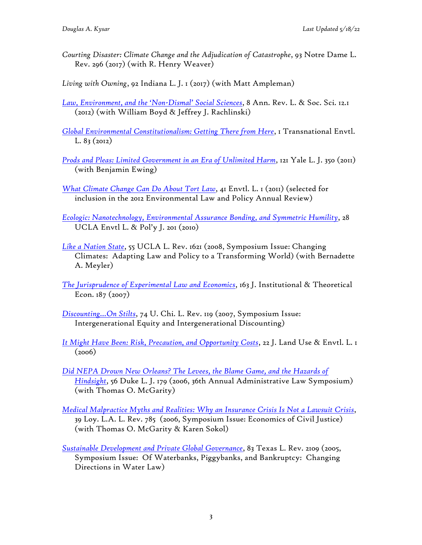- *Courting Disaster: Climate Change and the Adjudication of Catastrophe*, 93 Notre Dame L. Rev. 296 (2017) (with R. Henry Weaver)
- *Living with Owning*, 92 Indiana L. J. 1 (2017) (with Matt Ampleman)
- *Law, Environment, and the 'Non-Dismal' Social Sciences*, 8 Ann. Rev. L. & Soc. Sci. 12.1 (2012) (with William Boyd & Jeffrey J. Rachlinski)
- *Global Environmental Constitutionalism: Getting There from Here*, 1 Transnational Envtl. L. 83 *(*2012)
- *Prods and Pleas: Limited Government in an Era of Unlimited Harm*, 121 Yale L. J. 350 (2011) (with Benjamin Ewing)
- *What Climate Change Can Do About Tort Law*, 41 Envtl. L. 1 (2011) (selected for inclusion in the 2012 Environmental Law and Policy Annual Review)
- *Ecologic: Nanotechnology, Environmental Assurance Bonding, and Symmetric Humility*, 28 UCLA Envtl L. & Pol'y J. 201 (2010)
- *Like a Nation State*, 55 UCLA L. Rev. 1621 (2008, Symposium Issue: Changing Climates: Adapting Law and Policy to a Transforming World) (with Bernadette A. Meyler)
- *The Jurisprudence of Experimental Law and Economics*, 163 J. Institutional & Theoretical Econ. 187 (2007)
- *Discounting…On Stilts*, 74 U. Chi. L. Rev. 119 (2007, Symposium Issue: Intergenerational Equity and Intergenerational Discounting)
- *It Might Have Been: Risk, Precaution, and Opportunity Costs*, 22 J. Land Use & Envtl. L. 1  $(2006)$
- *Did NEPA Drown New Orleans? The Levees, the Blame Game, and the Hazards of Hindsight*, 56 Duke L. J. 179 (2006, 36th Annual Administrative Law Symposium) (with Thomas O. McGarity)
- *Medical Malpractice Myths and Realities: Why an Insurance Crisis Is Not a Lawsuit Crisis*, 39 Loy. L.A. L. Rev. 785 (2006, Symposium Issue: Economics of Civil Justice) (with Thomas O. McGarity & Karen Sokol)
- *Sustainable Development and Private Global Governance*, 83 Texas L. Rev. 2109 (2005, Symposium Issue: Of Waterbanks, Piggybanks, and Bankruptcy: Changing Directions in Water Law)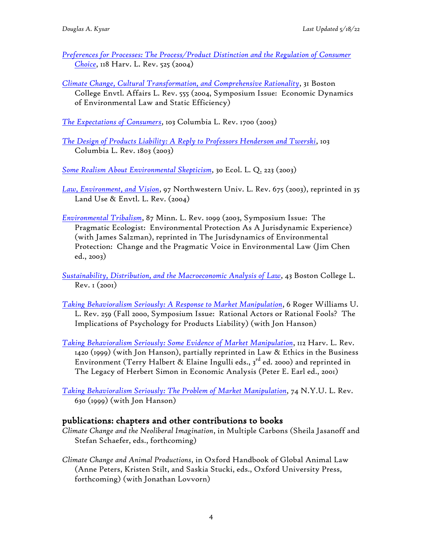- *Preferences for Processes: The Process/Product Distinction and the Regulation of Consumer Choice*, 118 Harv. L. Rev. 525 (2004)
- *Climate Change, Cultural Transformation, and Comprehensive Rationality*, 31 Boston College Envtl. Affairs L. Rev. 555 (2004, Symposium Issue: Economic Dynamics of Environmental Law and Static Efficiency)

*The Expectations of Consumers*, 103 Columbia L. Rev. 1700 (2003)

*The Design of Products Liability: A Reply to Professors Henderson and Twerski*, 103 Columbia L. Rev. 1803 (2003)

*Some Realism About Environmental Skepticism*, 30 Ecol. L. Q. 223 (2003)

*Law, Environment, and Vision*, 97 Northwestern Univ. L. Rev. 675 (2003), reprinted in 35 Land Use & Envtl. L. Rev. (2004)

*Environmental Tribalism*, 87 Minn. L. Rev. 1099 (2003, Symposium Issue: The Pragmatic Ecologist: Environmental Protection As A Jurisdynamic Experience) (with James Salzman), reprinted in The Jurisdynamics of Environmental Protection: Change and the Pragmatic Voice in Environmental Law (Jim Chen ed., 2003)

*Sustainability, Distribution, and the Macroeconomic Analysis of Law*, 43 Boston College L.  $Rev. I (2001)$ 

- *Taking Behavioralism Seriously: A Response to Market Manipulation*, 6 Roger Williams U. L. Rev. 259 (Fall 2000, Symposium Issue: Rational Actors or Rational Fools? The Implications of Psychology for Products Liability) (with Jon Hanson)
- *Taking Behavioralism Seriously: Some Evidence of Market Manipulation*, 112 Harv. L. Rev. 1420 (1999) (with Jon Hanson), partially reprinted in Law & Ethics in the Business Environment (Terry Halbert & Elaine Ingulli eds.,  $3^{rd}$  ed. 2000) and reprinted in The Legacy of Herbert Simon in Economic Analysis (Peter E. Earl ed., 2001)

*Taking Behavioralism Seriously: The Problem of Market Manipulation*, 74 N.Y.U. L. Rev. 630 (1999) (with Jon Hanson)

### publications: chapters and other contributions to books

- *Climate Change and the Neoliberal Imagination*, in Multiple Carbons (Sheila Jasanoff and Stefan Schaefer, eds., forthcoming)
- *Climate Change and Animal Productions*, in Oxford Handbook of Global Animal Law (Anne Peters, Kristen Stilt, and Saskia Stucki, eds., Oxford University Press, forthcoming) (with Jonathan Lovvorn)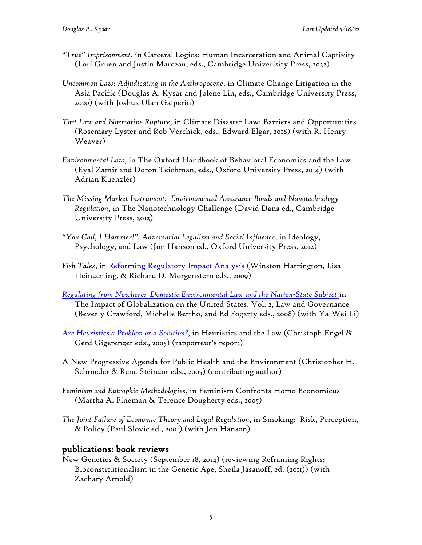- *"True" Imprisonment*, in Carceral Logics: Human Incarceration and Animal Captivity (Lori Gruen and Justin Marceau, eds., Cambridge Univerisity Press, 2022)
- *Uncommon Law: Adjudicating in the Anthropocene*, in Climate Change Litigation in the Asia Pacific (Douglas A. Kysar and Jolene Lin, eds., Cambridge University Press, 2020) (with Joshua Ulan Galperin)
- *Tort Law and Normative Rupture*, in Climate Disaster Law: Barriers and Opportunities (Rosemary Lyster and Rob Verchick, eds., Edward Elgar, 2018) (with R. Henry Weaver)
- *Environmental Law*, in The Oxford Handbook of Behavioral Economics and the Law (Eyal Zamir and Doron Teichman, eds., Oxford University Press, 2014) (with Adrian Kuenzler)
- *The Missing Market Instrument: Environmental Assurance Bonds and Nanotechnology Regulation*, in The Nanotechnology Challenge (David Dana ed., Cambridge University Press, 2012)
- *"You Call, I Hammer!": Adversarial Legalism and Social Influence*, in Ideology, Psychology, and Law (Jon Hanson ed., Oxford University Press, 2012)
- *Fish Tales*, in Reforming Regulatory Impact Analysis (Winston Harrington, Lisa Heinzerling, & Richard D. Morgenstern eds., 2009)
- *Regulating from Nowhere: Domestic Environmental Law and the Nation-State Subject* in The Impact of Globalization on the United States. Vol. 2, Law and Governance (Beverly Crawford, Michelle Bertho, and Ed Fogarty eds., 2008) (with Ya-Wei Li)
- *Are Heuristics a Problem or a Solution?*, in Heuristics and the Law (Christoph Engel & Gerd Gigerenzer eds., 2005) (rapporteur's report)
- A New Progressive Agenda for Public Health and the Environment (Christopher H. Schroeder & Rena Steinzor eds., 2005) (contributing author)
- *Feminism and Eutrophic Methodologies*, in Feminism Confronts Homo Economicus (Martha A. Fineman & Terence Dougherty eds., 2005)
- *The Joint Failure of Economic Theory and Legal Regulation*, in Smoking: Risk, Perception, & Policy (Paul Slovic ed., 2001) (with Jon Hanson)

### publications: book reviews

New Genetics & Society (September 18, 2014) (reviewing Reframing Rights: Bioconstitutionalism in the Genetic Age, Sheila Jasanoff, ed. (2011)) (with Zachary Arnold)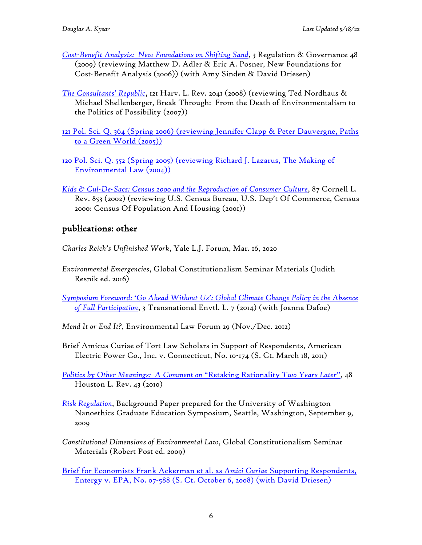- *Cost-Benefit Analysis: New Foundations on Shifting Sand*, 3 Regulation & Governance 48 (2009) (reviewing Matthew D. Adler & Eric A. Posner, New Foundations for Cost-Benefit Analysis (2006)) (with Amy Sinden & David Driesen)
- *The Consultants' Republic*, 121 Harv. L. Rev. 2041 (2008) (reviewing Ted Nordhaus & Michael Shellenberger, Break Through: From the Death of Environmentalism to the Politics of Possibility  $(2007)$ )
- 121 Pol. Sci. Q. 364 (Spring 2006) (reviewing Jennifer Clapp & Peter Dauvergne, Paths to a Green World (2005))
- 120 Pol. Sci. Q. 552 (Spring 2005) (reviewing Richard J. Lazarus, The Making of Environmental Law (2004))
- *Kids & Cul-De-Sacs: Census 2000 and the Reproduction of Consumer Culture*, 87 Cornell L. Rev. 853 (2002) (reviewing U.S. Census Bureau, U.S. Dep't Of Commerce, Census 2000: Census Of Population And Housing (2001))

# publications: other

*Charles Reich's Unfinished Work*, Yale L.J. Forum, Mar. 16, 2020

*Environmental Emergencies*, Global Constitutionalism Seminar Materials (Judith Resnik ed. 2016)

*Symposium Foreword: 'Go Ahead Without Us': Global Climate Change Policy in the Absence of Full Participation*, 3 Transnational Envtl. L. 7 (2014) (with Joanna Dafoe)

- *Mend It or End It?*, Environmental Law Forum 29 (Nov./Dec. 2012)
- Brief Amicus Curiae of Tort Law Scholars in Support of Respondents, American Electric Power Co., Inc. v. Connecticut, No. 10-174 (S. Ct. March 18, 2011)

*Politics by Other Meanings: A Comment on* "Retaking Rationality *Two Years Later*", 48 Houston L. Rev. 43 (2010)

- *Risk Regulation*, Background Paper prepared for the University of Washington Nanoethics Graduate Education Symposium, Seattle, Washington, September 9, 2009
- *Constitutional Dimensions of Environmental Law*, Global Constitutionalism Seminar Materials (Robert Post ed. 2009)

Brief for Economists Frank Ackerman et al. as *Amici Curiae* Supporting Respondents, Entergy v. EPA, No. 07-588 (S. Ct. October 6, 2008) (with David Driesen)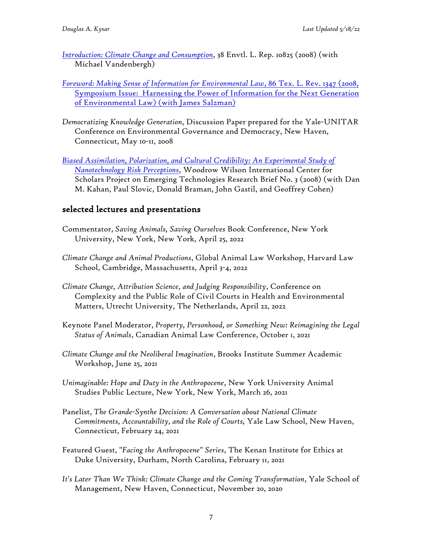*Introduction: Climate Change and Consumption*, 38 Envtl. L. Rep. 10825 (2008) (with Michael Vandenbergh)

### *Foreword: Making Sense of Information for Environmental Law*, 86 Tex. L. Rev. 1347 (2008, Symposium Issue: Harnessing the Power of Information for the Next Generation of Environmental Law) (with James Salzman)

- *Democratizing Knowledge Generation*, Discussion Paper prepared for the Yale-UNITAR Conference on Environmental Governance and Democracy, New Haven, Connecticut, May 10-11, 2008
- *Biased Assimilation, Polarization, and Cultural Credibility: An Experimental Study of Nanotechnology Risk Perceptions*, Woodrow Wilson International Center for Scholars Project on Emerging Technologies Research Brief No. 3 (2008) (with Dan M. Kahan, Paul Slovic, Donald Braman, John Gastil, and Geoffrey Cohen)

# selected lectures and presentations

- Commentator, *Saving Animals, Saving Ourselves* Book Conference, New York University, New York, New York, April 25, 2022
- *Climate Change and Animal Productions*, Global Animal Law Workshop, Harvard Law School, Cambridge, Massachusetts, April 3-4, 2022
- *Climate Change, Attribution Science, and Judging Responsibility*, Conference on Complexity and the Public Role of Civil Courts in Health and Environmental Matters, Utrecht University, The Netherlands, April 22, 2022
- Keynote Panel Moderator, *Property, Personhood, or Something New: Reimagining the Legal Status of Animals*, Canadian Animal Law Conference, October 1, 2021
- *Climate Change and the Neoliberal Imagination*, Brooks Institute Summer Academic Workshop, June 25, 2021
- *Unimaginable: Hope and Duty in the Anthropocene*, New York University Animal Studies Public Lecture, New York, New York, March 26, 2021
- Panelist, *The Grande-Synthe Decision: A Conversation about National Climate Commitments, Accountability, and the Role of Courts,* Yale Law School, New Haven, Connecticut, February 24, 2021
- Featured Guest, *"Facing the Anthropocene" Series*, The Kenan Institute for Ethics at Duke University, Durham, North Carolina, February 11, 2021
- *It's Later Than We Think: Climate Change and the Coming Transformation*, Yale School of Management, New Haven, Connecticut, November 20, 2020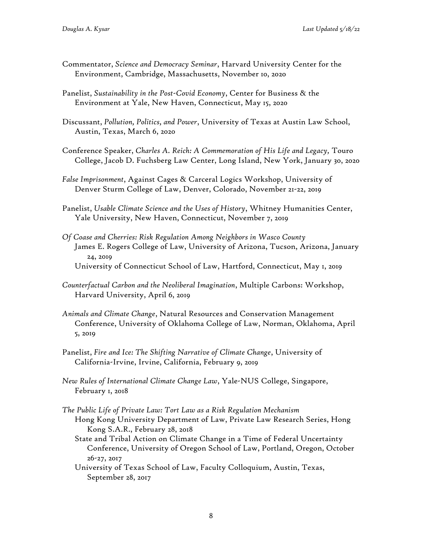- Commentator, *Science and Democracy Seminar*, Harvard University Center for the Environment, Cambridge, Massachusetts, November 10, 2020
- Panelist, *Sustainability in the Post-Covid Economy*, Center for Business & the Environment at Yale, New Haven, Connecticut, May 15, 2020
- Discussant, *Pollution, Politics, and Power*, University of Texas at Austin Law School, Austin, Texas, March 6, 2020
- Conference Speaker, *Charles A. Reich: A Commemoration of His Life and Legacy,* Touro College, Jacob D. Fuchsberg Law Center, Long Island, New York, January 30, 2020
- *False Imprisonment*, Against Cages & Carceral Logics Workshop, University of Denver Sturm College of Law, Denver, Colorado, November 21-22, 2019
- Panelist, *Usable Climate Science and the Uses of History*, Whitney Humanities Center, Yale University, New Haven, Connecticut, November 7, 2019
- *Of Coase and Cherries: Risk Regulation Among Neighbors in Wasco County* James E. Rogers College of Law, University of Arizona, Tucson, Arizona, January 24, 2019 University of Connecticut School of Law, Hartford, Connecticut, May 1, 2019
- *Counterfactual Carbon and the Neoliberal Imagination*, Multiple Carbons: Workshop, Harvard University, April 6, 2019
- *Animals and Climate Change*, Natural Resources and Conservation Management Conference, University of Oklahoma College of Law, Norman, Oklahoma, April 5, 2019
- Panelist, *Fire and Ice: The Shifting Narrative of Climate Change*, University of California-Irvine, Irvine, California, February 9, 2019
- *New Rules of International Climate Change Law*, Yale-NUS College, Singapore, February 1, 2018
- *The Public Life of Private Law: Tort Law as a Risk Regulation Mechanism* Hong Kong University Department of Law, Private Law Research Series, Hong Kong S.A.R., February 28, 2018
	- State and Tribal Action on Climate Change in a Time of Federal Uncertainty Conference, University of Oregon School of Law, Portland, Oregon, October 26-27, 2017
	- University of Texas School of Law, Faculty Colloquium, Austin, Texas, September 28, 2017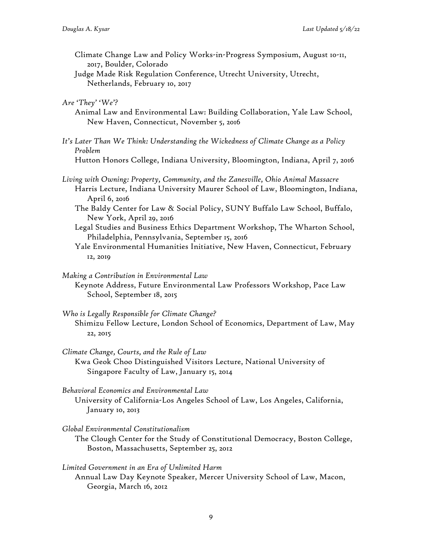- Climate Change Law and Policy Works-in-Progress Symposium, August 10-11, 2017, Boulder, Colorado
- Judge Made Risk Regulation Conference, Utrecht University, Utrecht, Netherlands, February 10, 2017

*Are 'They' 'We'?*

- Animal Law and Environmental Law: Building Collaboration, Yale Law School, New Haven, Connecticut, November 5, 2016
- *It's Later Than We Think: Understanding the Wickedness of Climate Change as a Policy Problem*

Hutton Honors College, Indiana University, Bloomington, Indiana, April 7, 2016

- *Living with Owning: Property, Community, and the Zanesville, Ohio Animal Massacre* Harris Lecture, Indiana University Maurer School of Law, Bloomington, Indiana, April 6, 2016
	- The Baldy Center for Law & Social Policy, SUNY Buffalo Law School, Buffalo, New York, April 29, 2016
	- Legal Studies and Business Ethics Department Workshop, The Wharton School, Philadelphia, Pennsylvania, September 15, 2016
	- Yale Environmental Humanities Initiative, New Haven, Connecticut, February 12, 2019

*Making a Contribution in Environmental Law*

- Keynote Address, Future Environmental Law Professors Workshop, Pace Law School, September 18, 2015
- *Who is Legally Responsible for Climate Change?* Shimizu Fellow Lecture, London School of Economics, Department of Law, May 22, 2015
- *Climate Change, Courts, and the Rule of Law* Kwa Geok Choo Distinguished Visitors Lecture, National University of Singapore Faculty of Law, January 15, 2014
- *Behavioral Economics and Environmental Law* University of California-Los Angeles School of Law, Los Angeles, California, January 10, 2013
- *Global Environmental Constitutionalism*
	- The Clough Center for the Study of Constitutional Democracy, Boston College, Boston, Massachusetts, September 25, 2012
- *Limited Government in an Era of Unlimited Harm* Annual Law Day Keynote Speaker, Mercer University School of Law, Macon, Georgia, March 16, 2012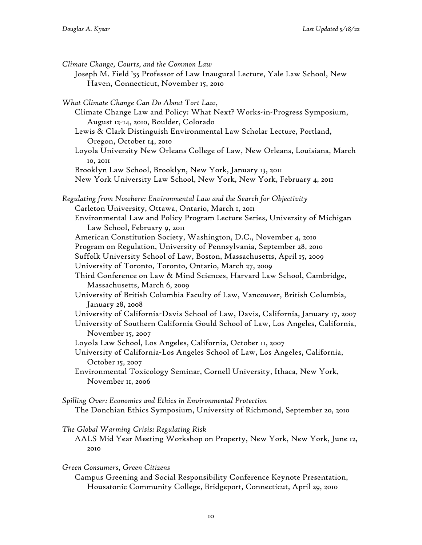| Climate Change, Courts, and the Common Law<br>Joseph M. Field '55 Professor of Law Inaugural Lecture, Yale Law School, New<br>Haven, Connecticut, November 15, 2010 |
|---------------------------------------------------------------------------------------------------------------------------------------------------------------------|
| What Climate Change Can Do About Tort Law,                                                                                                                          |
| Climate Change Law and Policy: What Next? Works-in-Progress Symposium,<br>August 12-14, 2010, Boulder, Colorado                                                     |
| Lewis & Clark Distinguish Environmental Law Scholar Lecture, Portland,<br>Oregon, October 14, 2010                                                                  |
| Loyola University New Orleans College of Law, New Orleans, Louisiana, March<br>10, 2011                                                                             |
| Brooklyn Law School, Brooklyn, New York, January 13, 2011                                                                                                           |
| New York University Law School, New York, New York, February 4, 2011                                                                                                |
| Regulating from Nowhere: Environmental Law and the Search for Objectivity                                                                                           |
| Carleton University, Ottawa, Ontario, March 1, 2011                                                                                                                 |
| Environmental Law and Policy Program Lecture Series, University of Michigan<br>Law School, February 9, 2011                                                         |
| American Constitution Society, Washington, D.C., November 4, 2010                                                                                                   |
| Program on Regulation, University of Pennsylvania, September 28, 2010                                                                                               |
| Suffolk University School of Law, Boston, Massachusetts, April 15, 2009                                                                                             |
| University of Toronto, Toronto, Ontario, March 27, 2009                                                                                                             |
| Third Conference on Law & Mind Sciences, Harvard Law School, Cambridge,<br>Massachusetts, March 6, 2009                                                             |
| University of British Columbia Faculty of Law, Vancouver, British Columbia,<br>January 28, 2008                                                                     |
| University of California-Davis School of Law, Davis, California, January 17, 2007                                                                                   |
| University of Southern California Gould School of Law, Los Angeles, California,                                                                                     |
| November 15, 2007                                                                                                                                                   |
| Loyola Law School, Los Angeles, California, October 11, 2007                                                                                                        |
| University of California-Los Angeles School of Law, Los Angeles, California,<br>October 15, 2007                                                                    |
| Environmental Toxicology Seminar, Cornell University, Ithaca, New York,<br>November II, 2006                                                                        |
| Spilling Over: Economics and Ethics in Environmental Protection                                                                                                     |
| The Donchian Ethics Symposium, University of Richmond, September 20, 2010                                                                                           |

#### *The Global Warming Crisis: Regulating Risk*

AALS Mid Year Meeting Workshop on Property, New York, New York, June 12, 2010

*Green Consumers, Green Citizens*

Campus Greening and Social Responsibility Conference Keynote Presentation, Housatonic Community College, Bridgeport, Connecticut, April 29, 2010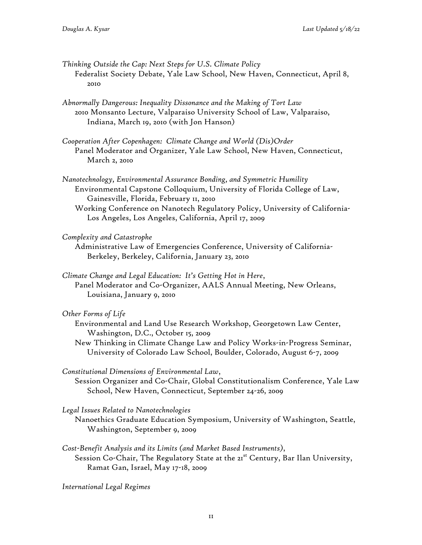- *Thinking Outside the Cap: Next Steps for U.S. Climate Policy* Federalist Society Debate, Yale Law School, New Haven, Connecticut, April 8, 2010
- *Abnormally Dangerous: Inequality Dissonance and the Making of Tort Law* 2010 Monsanto Lecture, Valparaiso University School of Law, Valparaiso, Indiana, March 19, 2010 (with Jon Hanson)
- *Cooperation After Copenhagen: Climate Change and World (Dis)Order* Panel Moderator and Organizer, Yale Law School, New Haven, Connecticut, March 2, 2010
- *Nanotechnology, Environmental Assurance Bonding, and Symmetric Humility* Environmental Capstone Colloquium, University of Florida College of Law, Gainesville, Florida, February 11, 2010
	- Working Conference on Nanotech Regulatory Policy, University of California-Los Angeles, Los Angeles, California, April 17, 2009

#### *Complexity and Catastrophe*

- Administrative Law of Emergencies Conference, University of California-Berkeley, Berkeley, California, January 23, 2010
- *Climate Change and Legal Education: It's Getting Hot in Here*, Panel Moderator and Co-Organizer, AALS Annual Meeting, New Orleans, Louisiana, January 9, 2010

#### *Other Forms of Life*

- Environmental and Land Use Research Workshop, Georgetown Law Center, Washington, D.C., October 15, 2009
- New Thinking in Climate Change Law and Policy Works-in-Progress Seminar, University of Colorado Law School, Boulder, Colorado, August 6-7, 2009
- *Constitutional Dimensions of Environmental Law*,
	- Session Organizer and Co-Chair, Global Constitutionalism Conference, Yale Law School, New Haven, Connecticut, September 24-26, 2009

*Legal Issues Related to Nanotechnologies*

- Nanoethics Graduate Education Symposium, University of Washington, Seattle, Washington, September 9, 2009
- *Cost-Benefit Analysis and its Limits (and Market Based Instruments)*,
- Session Co-Chair, The Regulatory State at the 21<sup>st</sup> Century, Bar Ilan University, Ramat Gan, Israel, May 17-18, 2009

*International Legal Regimes*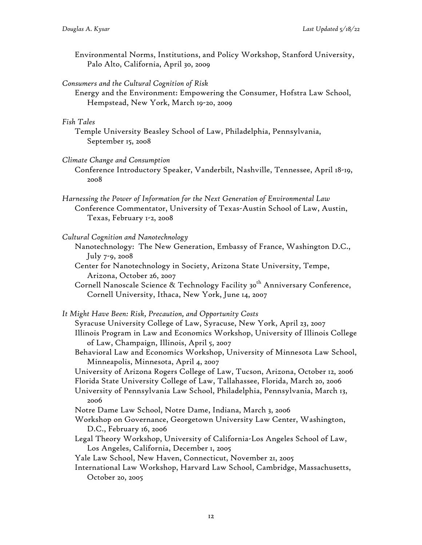Environmental Norms, Institutions, and Policy Workshop, Stanford University, Palo Alto, California, April 30, 2009

*Consumers and the Cultural Cognition of Risk*

Energy and the Environment: Empowering the Consumer, Hofstra Law School, Hempstead, New York, March 19-20, 2009

#### *Fish Tales*

Temple University Beasley School of Law, Philadelphia, Pennsylvania, September 15, 2008

*Climate Change and Consumption*

Conference Introductory Speaker, Vanderbilt, Nashville, Tennessee, April 18-19, 2008

*Harnessing the Power of Information for the Next Generation of Environmental Law* Conference Commentator, University of Texas-Austin School of Law, Austin, Texas, February 1-2, 2008

*Cultural Cognition and Nanotechnology*

Nanotechnology: The New Generation, Embassy of France, Washington D.C., July 7-9, 2008

Center for Nanotechnology in Society, Arizona State University, Tempe, Arizona, October 26, 2007

Cornell Nanoscale Science & Technology Facility 30<sup>th</sup> Anniversary Conference, Cornell University, Ithaca, New York, June 14, 2007

*It Might Have Been: Risk, Precaution, and Opportunity Costs* Syracuse University College of Law, Syracuse, New York, April 23, 2007 Illinois Program in Law and Economics Workshop, University of Illinois College of Law, Champaign, Illinois, April 5, 2007 Behavioral Law and Economics Workshop, University of Minnesota Law School, Minneapolis, Minnesota, April 4, 2007 University of Arizona Rogers College of Law, Tucson, Arizona, October 12, 2006 Florida State University College of Law, Tallahassee, Florida, March 20, 2006 University of Pennsylvania Law School, Philadelphia, Pennsylvania, March 13, 2006 Notre Dame Law School, Notre Dame, Indiana, March 3, 2006 Workshop on Governance, Georgetown University Law Center, Washington, D.C., February 16, 2006 Legal Theory Workshop, University of California-Los Angeles School of Law, Los Angeles, California, December 1, 2005 Yale Law School, New Haven, Connecticut, November 21, 2005 International Law Workshop, Harvard Law School, Cambridge, Massachusetts, October 20, 2005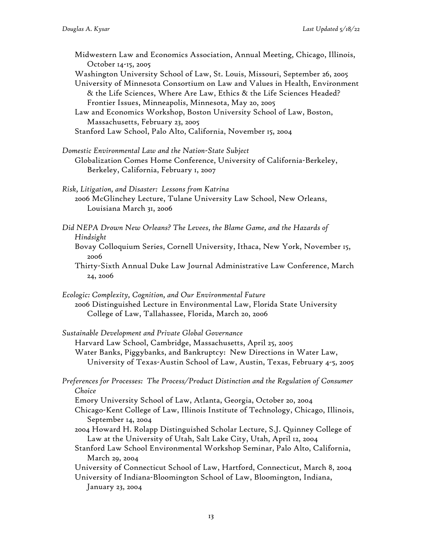Midwestern Law and Economics Association, Annual Meeting, Chicago, Illinois, October 14-15, 2005

Washington University School of Law, St. Louis, Missouri, September 26, 2005

University of Minnesota Consortium on Law and Values in Health, Environment & the Life Sciences, Where Are Law, Ethics & the Life Sciences Headed? Frontier Issues, Minneapolis, Minnesota, May 20, 2005

- Law and Economics Workshop, Boston University School of Law, Boston, Massachusetts, February 23, 2005
- Stanford Law School, Palo Alto, California, November 15, 2004
- *Domestic Environmental Law and the Nation-State Subject* Globalization Comes Home Conference, University of California-Berkeley, Berkeley, California, February 1, 2007

*Risk, Litigation, and Disaster: Lessons from Katrina* 2006 McGlinchey Lecture, Tulane University Law School, New Orleans,

Louisiana March 31, 2006

- *Did NEPA Drown New Orleans? The Levees, the Blame Game, and the Hazards of Hindsight*
	- Bovay Colloquium Series, Cornell University, Ithaca, New York, November 15, 2006
	- Thirty-Sixth Annual Duke Law Journal Administrative Law Conference, March 24, 2006
- *Ecologic: Complexity, Cognition, and Our Environmental Future* 2006 Distinguished Lecture in Environmental Law, Florida State University College of Law, Tallahassee, Florida, March 20, 2006
- *Sustainable Development and Private Global Governance* Harvard Law School, Cambridge, Massachusetts, April 25, 2005 Water Banks, Piggybanks, and Bankruptcy: New Directions in Water Law, University of Texas-Austin School of Law, Austin, Texas, February 4-5, 2005
- *Preferences for Processes: The Process/Product Distinction and the Regulation of Consumer Choice*

Emory University School of Law, Atlanta, Georgia, October 20, 2004

- Chicago-Kent College of Law, Illinois Institute of Technology, Chicago, Illinois, September 14, 2004
- 2004 Howard H. Rolapp Distinguished Scholar Lecture, S.J. Quinney College of Law at the University of Utah, Salt Lake City, Utah, April 12, 2004
- Stanford Law School Environmental Workshop Seminar, Palo Alto, California, March 29, 2004
- University of Connecticut School of Law, Hartford, Connecticut, March 8, 2004 University of Indiana-Bloomington School of Law, Bloomington, Indiana, January 23, 2004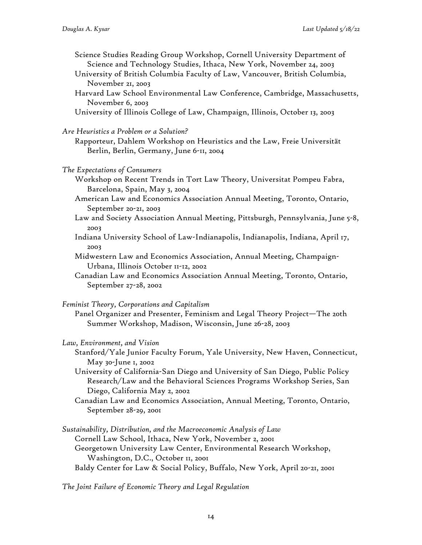- Science Studies Reading Group Workshop, Cornell University Department of Science and Technology Studies, Ithaca, New York, November 24, 2003
- University of British Columbia Faculty of Law, Vancouver, British Columbia, November 21, 2003
- Harvard Law School Environmental Law Conference, Cambridge, Massachusetts, November 6, 2003
- University of Illinois College of Law, Champaign, Illinois, October 13, 2003
- *Are Heuristics a Problem or a Solution?*
	- Rapporteur, Dahlem Workshop on Heuristics and the Law, Freie Universität Berlin, Berlin, Germany, June 6-11, 2004
- *The Expectations of Consumers*
	- Workshop on Recent Trends in Tort Law Theory, Universitat Pompeu Fabra, Barcelona, Spain, May 3, 2004

American Law and Economics Association Annual Meeting, Toronto, Ontario, September 20-21, 2003

- Law and Society Association Annual Meeting, Pittsburgh, Pennsylvania, June 5-8, 2003
- Indiana University School of Law-Indianapolis, Indianapolis, Indiana, April 17, 2003
- Midwestern Law and Economics Association, Annual Meeting, Champaign-Urbana, Illinois October 11-12, 2002
- Canadian Law and Economics Association Annual Meeting, Toronto, Ontario, September 27-28, 2002

*Feminist Theory, Corporations and Capitalism*

Panel Organizer and Presenter, Feminism and Legal Theory Project—The 20th Summer Workshop, Madison, Wisconsin, June 26-28, 2003

*Law, Environment, and Vision*

- Stanford/Yale Junior Faculty Forum, Yale University, New Haven, Connecticut, May 30-June 1, 2002
- University of California-San Diego and University of San Diego, Public Policy Research/Law and the Behavioral Sciences Programs Workshop Series, San Diego, California May 2, 2002
- Canadian Law and Economics Association, Annual Meeting, Toronto, Ontario, September 28-29, 2001
- *Sustainability, Distribution, and the Macroeconomic Analysis of Law* Cornell Law School, Ithaca, New York, November 2, 2001 Georgetown University Law Center, Environmental Research Workshop, Washington, D.C., October 11, 2001 Baldy Center for Law & Social Policy, Buffalo, New York, April 20-21, 2001

*The Joint Failure of Economic Theory and Legal Regulation*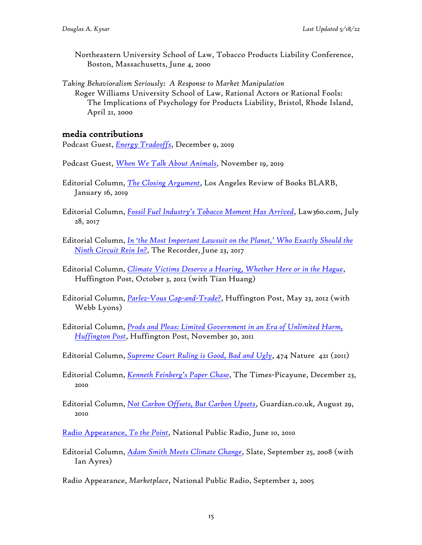- Northeastern University School of Law, Tobacco Products Liability Conference, Boston, Massachusetts, June 4, 2000
- *Taking Behavioralism Seriously: A Response to Market Manipulation* Roger Williams University School of Law, Rational Actors or Rational Fools: The Implications of Psychology for Products Liability, Bristol, Rhode Island, April 21, 2000

## media contributions

Podcast Guest, *Energy Tradeoffs*, December 9, 2019

- Podcast Guest, *When We Talk About Animals*, November 19, 2019
- Editorial Column, *The Closing Argument*, Los Angeles Review of Books BLARB, January 16, 2019
- Editorial Column, *Fossil Fuel Industry's Tobacco Moment Has Arrived*, Law360.com, July 28, 2017
- Editorial Column, *In 'the Most Important Lawsuit on the Planet,' Who Exactly Should the Ninth Circuit Rein In?*, The Recorder, June 23, 2017
- Editorial Column, *Climate Victims Deserve a Hearing, Whether Here or in the Hague*, Huffington Post, October 3, 2012 (with Tian Huang)
- Editorial Column, *Parlez-Vous Cap-and-Trade?*, Huffington Post, May 23, 2012 (with Webb Lyons)
- Editorial Column, *Prods and Pleas: Limited Government in an Era of Unlimited Harm, Huffington Post*, Huffington Post, November 30, 2011
- Editorial Column, *Supreme Court Ruling is Good, Bad and Ugly*, 474 Nature 421 (2011)
- Editorial Column, *Kenneth Feinberg's Paper Chase*, The Times-Picayune, December 23, 2010
- Editorial Column, *Not Carbon Offsets, But Carbon Upsets*, Guardian.co.uk, August 29, 2010
- Radio Appearance, *To the Point*, National Public Radio, June 10, 2010
- Editorial Column, *Adam Smith Meets Climate Change*, Slate, September 25, 2008 (with Ian Ayres)
- Radio Appearance, *Marketplace*, National Public Radio, September 2, 2005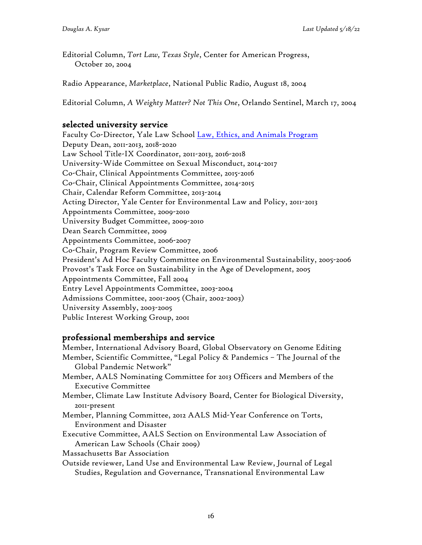Editorial Column, *Tort Law, Texas Style*, Center for American Progress, October 20, 2004

Radio Appearance, *Marketplace*, National Public Radio, August 18, 2004

Editorial Column, *A Weighty Matter? Not This One*, Orlando Sentinel, March 17, 2004

## selected university service

Faculty Co-Director, Yale Law School Law, Ethics, and Animals Program Deputy Dean, 2011-2013, 2018-2020 Law School Title-IX Coordinator, 2011-2013, 2016-2018 University-Wide Committee on Sexual Misconduct, 2014-2017 Co-Chair, Clinical Appointments Committee, 2015-2016 Co-Chair, Clinical Appointments Committee, 2014-2015 Chair, Calendar Reform Committee, 2013-2014 Acting Director, Yale Center for Environmental Law and Policy, 2011-2013 Appointments Committee, 2009-2010 University Budget Committee, 2009-2010 Dean Search Committee, 2009 Appointments Committee, 2006-2007 Co-Chair, Program Review Committee, 2006 President's Ad Hoc Faculty Committee on Environmental Sustainability, 2005-2006 Provost's Task Force on Sustainability in the Age of Development, 2005 Appointments Committee, Fall 2004 Entry Level Appointments Committee, 2003-2004 Admissions Committee, 2001-2005 (Chair, 2002-2003) University Assembly, 2003-2005 Public Interest Working Group, 2001

## professional memberships and service

Member, International Advisory Board, Global Observatory on Genome Editing Member, Scientific Committee, "Legal Policy & Pandemics – The Journal of the Global Pandemic Network" Member, AALS Nominating Committee for 2013 Officers and Members of the Executive Committee Member, Climate Law Institute Advisory Board, Center for Biological Diversity, 2011-present Member, Planning Committee, 2012 AALS Mid-Year Conference on Torts, Environment and Disaster Executive Committee, AALS Section on Environmental Law Association of American Law Schools (Chair 2009) Massachusetts Bar Association Outside reviewer, Land Use and Environmental Law Review, Journal of Legal Studies, Regulation and Governance, Transnational Environmental Law